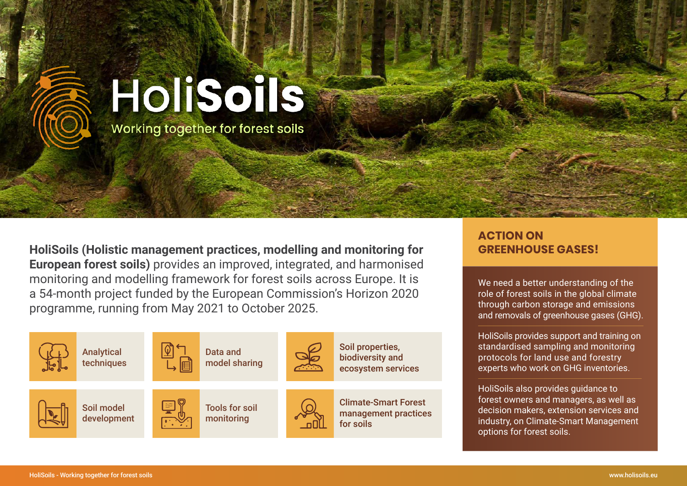

**HoliSoils (Holistic management practices, modelling and monitoring for GREENHOUSE GASES! European forest soils)** provides an improved, integrated, and harmonised monitoring and modelling framework for forest soils across Europe. It is a 54-month project funded by the European Commission's Horizon 2020 programme, running from May 2021 to October 2025.



# **ACTION ON**

We need a better understanding of the role of forest soils in the global climate through carbon storage and emissions and removals of greenhouse gases (GHG).

HoliSoils provides support and training on standardised sampling and monitoring protocols for land use and forestry experts who work on GHG inventories.

HoliSoils also provides guidance to forest owners and managers, as well as decision makers, extension services and industry, on Climate-Smart Management options for forest soils.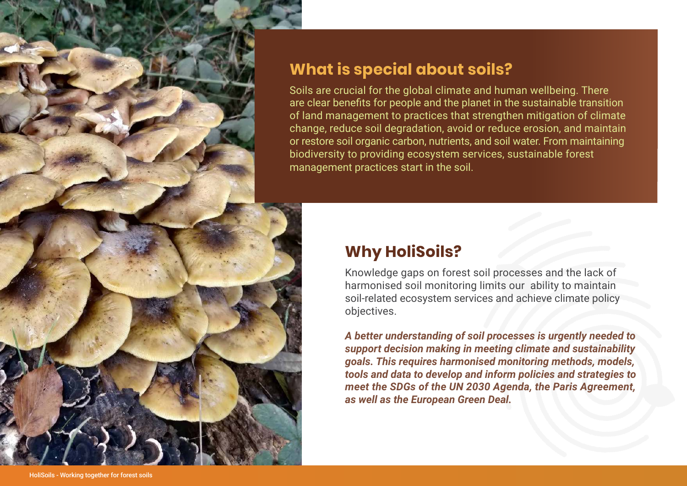

### **What is special about soils?**

Soils are crucial for the global climate and human wellbeing. There are clear benefits for people and the planet in the sustainable transition of land management to practices that strengthen mitigation of climate change, reduce soil degradation, avoid or reduce erosion, and maintain or restore soil organic carbon, nutrients, and soil water. From maintaining biodiversity to providing ecosystem services, sustainable forest management practices start in the soil.

## **Why HoliSoils?**

Knowledge gaps on forest soil processes and the lack of harmonised soil monitoring limits our ability to maintain soil-related ecosystem services and achieve climate policy objectives.

*A better understanding of soil processes is urgently needed to support decision making in meeting climate and sustainability goals. This requires harmonised monitoring methods, models, tools and data to develop and inform policies and strategies to meet the SDGs of the UN 2030 Agenda, the Paris Agreement, as well as the European Green Deal.*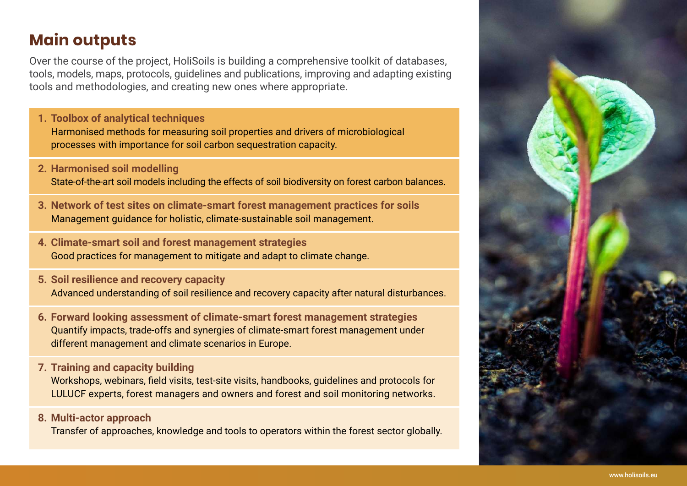# **Main outputs**

Over the course of the project, HoliSoils is building a comprehensive toolkit of databases, tools, models, maps, protocols, guidelines and publications, improving and adapting existing tools and methodologies, and creating new ones where appropriate.

- **1. Toolbox of analytical techniques** Harmonised methods for measuring soil properties and drivers of microbiological processes with importance for soil carbon sequestration capacity.
- **2. Harmonised soil modelling** State-of-the-art soil models including the effects of soil biodiversity on forest carbon balances.
- **3. Network of test sites on climate-smart forest management practices for soils** Management guidance for holistic, climate-sustainable soil management.
- **4. Climate-smart soil and forest management strategies** Good practices for management to mitigate and adapt to climate change.
- **5. Soil resilience and recovery capacity** Advanced understanding of soil resilience and recovery capacity after natural disturbances.
- **6. Forward looking assessment of climate-smart forest management strategies** Quantify impacts, trade-offs and synergies of climate-smart forest management under different management and climate scenarios in Europe.
- **7. Training and capacity building**

Workshops, webinars, field visits, test-site visits, handbooks, guidelines and protocols for LULUCF experts, forest managers and owners and forest and soil monitoring networks.

#### **8. Multi-actor approach**

Transfer of approaches, knowledge and tools to operators within the forest sector globally.